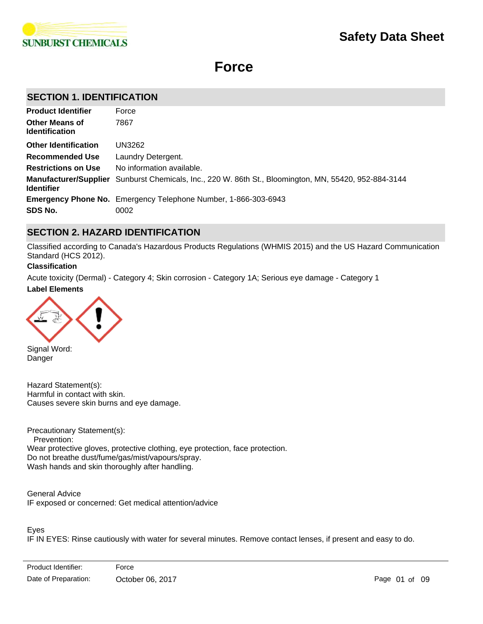

# **Force**

# **SECTION 1. IDENTIFICATION**

| <b>Product Identifier</b>                      | Force                                                                                                        |
|------------------------------------------------|--------------------------------------------------------------------------------------------------------------|
| <b>Other Means of</b><br><b>Identification</b> | 7867                                                                                                         |
| <b>Other Identification</b>                    | UN3262                                                                                                       |
| <b>Recommended Use</b>                         | Laundry Detergent.                                                                                           |
| <b>Restrictions on Use</b>                     | No information available.                                                                                    |
| <b>Identifier</b>                              | <b>Manufacturer/Supplier</b> Sunburst Chemicals, Inc., 220 W. 86th St., Bloomington, MN, 55420, 952-884-3144 |
|                                                | <b>Emergency Phone No.</b> Emergency Telephone Number, 1-866-303-6943                                        |
| SDS No.                                        | 0002                                                                                                         |

# **SECTION 2. HAZARD IDENTIFICATION**

Classified according to Canada's Hazardous Products Regulations (WHMIS 2015) and the US Hazard Communication Standard (HCS 2012).

### **Classification**

**Label Elements** Acute toxicity (Dermal) - Category 4; Skin corrosion - Category 1A; Serious eye damage - Category 1



Signal Word: Danger

Hazard Statement(s): Harmful in contact with skin. Causes severe skin burns and eye damage.

Precautionary Statement(s): Prevention: Wear protective gloves, protective clothing, eye protection, face protection. Do not breathe dust/fume/gas/mist/vapours/spray. Wash hands and skin thoroughly after handling.

General Advice IF exposed or concerned: Get medical attention/advice

# Eyes

IF IN EYES: Rinse cautiously with water for several minutes. Remove contact lenses, if present and easy to do.

Immediately call a POISON CENTRE or doctor.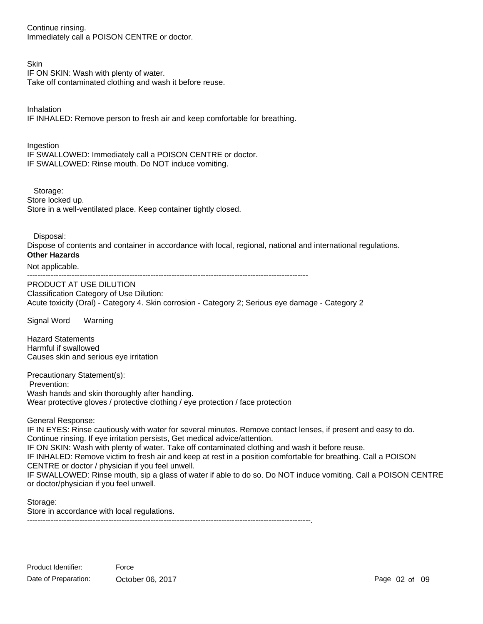Continue rinsing. Immediately call a POISON CENTRE or doctor.

# **Skin**

IF ON SKIN: Wash with plenty of water.

Take off contaminated clothing and wash it before reuse.

Inhalation

IF INHALED: Remove person to fresh air and keep comfortable for breathing.

**Ingestion** IF SWALLOWED: Immediately call a POISON CENTRE or doctor. IF SWALLOWED: Rinse mouth. Do NOT induce vomiting.

Storage:

Store locked up. Store in a well-ventilated place. Keep container tightly closed.

Disposal:

Dispose of contents and container in accordance with local, regional, national and international regulations. **Other Hazards**

Not applicable.

-----------------------------------------------------------------------------------------------------------

PRODUCT AT USE DILUTION Classification Category of Use Dilution: Acute toxicity (Oral) - Category 4. Skin corrosion - Category 2; Serious eye damage - Category 2

Signal Word Warning

Hazard Statements Harmful if swallowed Causes skin and serious eye irritation

Precautionary Statement(s): Prevention: Wash hands and skin thoroughly after handling. Wear protective gloves / protective clothing / eye protection / face protection

General Response:

IF IN EYES: Rinse cautiously with water for several minutes. Remove contact lenses, if present and easy to do. Continue rinsing. If eye irritation persists, Get medical advice/attention. IF ON SKIN: Wash with plenty of water. Take off contaminated clothing and wash it before reuse. IF INHALED: Remove victim to fresh air and keep at rest in a position comfortable for breathing. Call a POISON CENTRE or doctor / physician if you feel unwell. IF SWALLOWED: Rinse mouth, sip a glass of water if able to do so. Do NOT induce vomiting. Call a POISON CENTRE or doctor/physician if you feel unwell.

Storage:

Store in accordance with local regulations.

------------------------------------------------------------------------------------------------------------.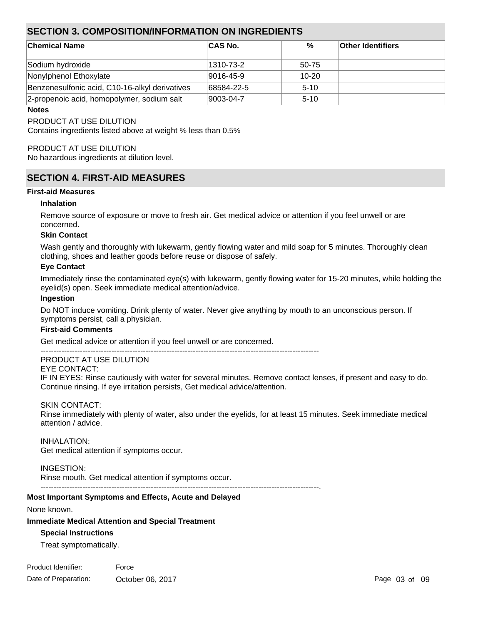# **SECTION 3. COMPOSITION/INFORMATION ON INGREDIENTS**

| <b>Chemical Name</b>                           | ∣CAS No.   | %        | <b>Other Identifiers</b> |  |
|------------------------------------------------|------------|----------|--------------------------|--|
| Sodium hydroxide                               | 1310-73-2  | 50-75    |                          |  |
| Nonylphenol Ethoxylate                         | 9016-45-9  | $10-20$  |                          |  |
| Benzenesulfonic acid, C10-16-alkyl derivatives | 68584-22-5 | $5 - 10$ |                          |  |
| 2-propenoic acid, homopolymer, sodium salt     | 9003-04-7  | $5 - 10$ |                          |  |

#### **Notes**

PRODUCT AT USE DILUTION

Contains ingredients listed above at weight % less than 0.5%

### PRODUCT AT USE DILUTION

No hazardous ingredients at dilution level.

# **SECTION 4. FIRST-AID MEASURES**

#### **First-aid Measures**

#### **Inhalation**

Remove source of exposure or move to fresh air. Get medical advice or attention if you feel unwell or are concerned.

#### **Skin Contact**

Wash gently and thoroughly with lukewarm, gently flowing water and mild soap for 5 minutes. Thoroughly clean clothing, shoes and leather goods before reuse or dispose of safely.

#### **Eye Contact**

Immediately rinse the contaminated eye(s) with lukewarm, gently flowing water for 15-20 minutes, while holding the eyelid(s) open. Seek immediate medical attention/advice.

#### **Ingestion**

Do NOT induce vomiting. Drink plenty of water. Never give anything by mouth to an unconscious person. If symptoms persist, call a physician.

#### **First-aid Comments**

Get medical advice or attention if you feel unwell or are concerned.

----------------------------------------------------------------------------------------------------------

# PRODUCT AT USE DILUTION

EYE CONTACT:

IF IN EYES: Rinse cautiously with water for several minutes. Remove contact lenses, if present and easy to do. Continue rinsing. If eye irritation persists, Get medical advice/attention.

### SKIN CONTACT:

Rinse immediately with plenty of water, also under the eyelids, for at least 15 minutes. Seek immediate medical attention / advice.

#### INHALATION:

Get medical attention if symptoms occur.

### INGESTION:

Rinse mouth. Get medical attention if symptoms occur. ----------------------------------------------------------------------------------------------------------.

### **Most Important Symptoms and Effects, Acute and Delayed**

None known.

### **Immediate Medical Attention and Special Treatment**

### **Special Instructions**

Treat symptomatically.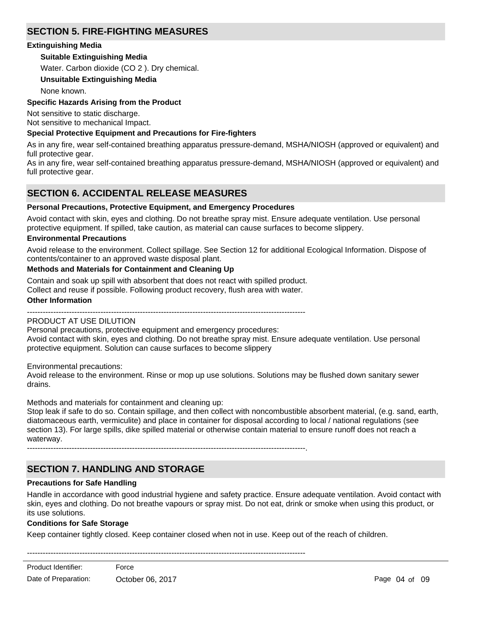# **SECTION 5. FIRE-FIGHTING MEASURES**

# **Extinguishing Media**

# **Suitable Extinguishing Media**

Water. Carbon dioxide (CO 2 ). Dry chemical.

# **Unsuitable Extinguishing Media**

None known.

# **Specific Hazards Arising from the Product**

Not sensitive to static discharge. Not sensitive to mechanical Impact.

# **Special Protective Equipment and Precautions for Fire-fighters**

As in any fire, wear self-contained breathing apparatus pressure-demand, MSHA/NIOSH (approved or equivalent) and full protective gear.

As in any fire, wear self-contained breathing apparatus pressure-demand, MSHA/NIOSH (approved or equivalent) and full protective gear.

# **SECTION 6. ACCIDENTAL RELEASE MEASURES**

# **Personal Precautions, Protective Equipment, and Emergency Procedures**

Avoid contact with skin, eyes and clothing. Do not breathe spray mist. Ensure adequate ventilation. Use personal protective equipment. If spilled, take caution, as material can cause surfaces to become slippery.

# **Environmental Precautions**

Avoid release to the environment. Collect spillage. See Section 12 for additional Ecological Information. Dispose of contents/container to an approved waste disposal plant.

# **Methods and Materials for Containment and Cleaning Up**

Contain and soak up spill with absorbent that does not react with spilled product.

Collect and reuse if possible. Following product recovery, flush area with water.

### **Other Information**

----------------------------------------------------------------------------------------------------------

### PRODUCT AT USE DILUTION

Personal precautions, protective equipment and emergency procedures:

Avoid contact with skin, eyes and clothing. Do not breathe spray mist. Ensure adequate ventilation. Use personal protective equipment. Solution can cause surfaces to become slippery

Environmental precautions:

Avoid release to the environment. Rinse or mop up use solutions. Solutions may be flushed down sanitary sewer drains.

Methods and materials for containment and cleaning up:

Stop leak if safe to do so. Contain spillage, and then collect with noncombustible absorbent material, (e.g. sand, earth, diatomaceous earth, vermiculite) and place in container for disposal according to local / national regulations (see section 13). For large spills, dike spilled material or otherwise contain material to ensure runoff does not reach a waterway.

----------------------------------------------------------------------------------------------------------.

# **SECTION 7. HANDLING AND STORAGE**

### **Precautions for Safe Handling**

Handle in accordance with good industrial hygiene and safety practice. Ensure adequate ventilation. Avoid contact with skin, eyes and clothing. Do not breathe vapours or spray mist. Do not eat, drink or smoke when using this product, or its use solutions.

### **Conditions for Safe Storage**

Keep container tightly closed. Keep container closed when not in use. Keep out of the reach of children.

----------------------------------------------------------------------------------------------------------

<u>Product Identification</u> Product Identifier: Force Date of Preparation: Cortober 06, 2017 **Date of Preparation:** Page 04 of 09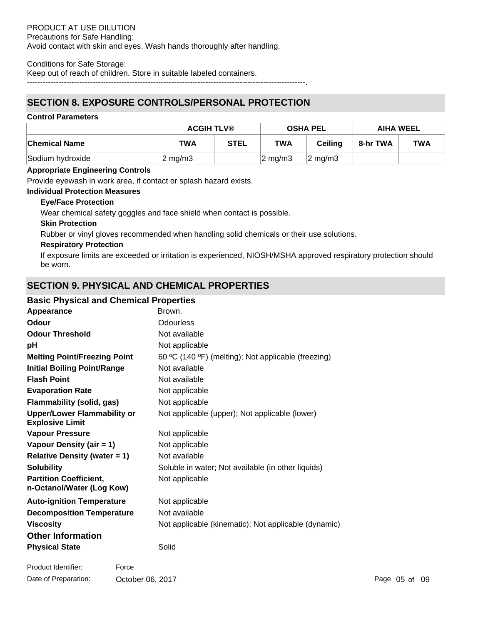#### Conditions for Safe Storage:

Keep out of reach of children. Store in suitable labeled containers.

----------------------------------------------------------------------------------------------------------.

# **SECTION 8. EXPOSURE CONTROLS/PERSONAL PROTECTION**

### **Control Parameters**

|                      | <b>ACGIH TLV®</b> |             | <b>OSHA PEL</b>     |                     | <b>AIHA WEEL</b> |            |
|----------------------|-------------------|-------------|---------------------|---------------------|------------------|------------|
| <b>Chemical Name</b> | TWA               | <b>STEL</b> | TWA                 | Ceilina             | 8-hr TWA         | <b>TWA</b> |
| Sodium hydroxide     | $\sqrt{2}$ mg/m3  |             | $ 2 \text{ mg/m}$ 3 | $ 2 \text{ ma/m3} $ |                  |            |

# **Appropriate Engineering Controls**

Provide eyewash in work area, if contact or splash hazard exists.

#### **Individual Protection Measures**

### **Eye/Face Protection**

Wear chemical safety goggles and face shield when contact is possible.

### **Skin Protection**

Rubber or vinyl gloves recommended when handling solid chemicals or their use solutions.

### **Respiratory Protection**

If exposure limits are exceeded or irritation is experienced, NIOSH/MSHA approved respiratory protection should be worn.

# **SECTION 9. PHYSICAL AND CHEMICAL PROPERTIES**

# **Basic Physical and Chemical Properties**

| Appearance                                                   | Brown.                                               |
|--------------------------------------------------------------|------------------------------------------------------|
| <b>Odour</b>                                                 | <b>Odourless</b>                                     |
| <b>Odour Threshold</b>                                       | Not available                                        |
| рH                                                           | Not applicable                                       |
| <b>Melting Point/Freezing Point</b>                          | 60 °C (140 °F) (melting); Not applicable (freezing)  |
| <b>Initial Boiling Point/Range</b>                           | Not available                                        |
| <b>Flash Point</b>                                           | Not available                                        |
| <b>Evaporation Rate</b>                                      | Not applicable                                       |
| <b>Flammability (solid, gas)</b>                             | Not applicable                                       |
| <b>Upper/Lower Flammability or</b><br><b>Explosive Limit</b> | Not applicable (upper); Not applicable (lower)       |
| <b>Vapour Pressure</b>                                       | Not applicable                                       |
| Vapour Density (air = 1)                                     | Not applicable                                       |
| <b>Relative Density (water = 1)</b>                          | Not available                                        |
| <b>Solubility</b>                                            | Soluble in water; Not available (in other liquids)   |
| <b>Partition Coefficient,</b><br>n-Octanol/Water (Log Kow)   | Not applicable                                       |
| <b>Auto-ignition Temperature</b>                             | Not applicable                                       |
| <b>Decomposition Temperature</b>                             | Not available                                        |
| <b>Viscosity</b>                                             | Not applicable (kinematic); Not applicable (dynamic) |
| <b>Other Information</b>                                     |                                                      |
| <b>Physical State</b>                                        | Solid                                                |
|                                                              |                                                      |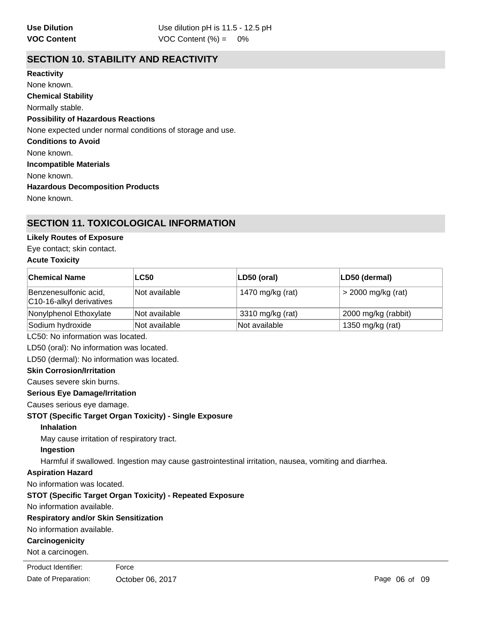# **SECTION 10. STABILITY AND REACTIVITY**

**Chemical Stability** Normally stable. **Conditions to Avoid** None known. **Incompatible Materials** None known. **Hazardous Decomposition Products** None known. **Possibility of Hazardous Reactions** None expected under normal conditions of storage and use. **Reactivity** None known.

# **SECTION 11. TOXICOLOGICAL INFORMATION**

# **Likely Routes of Exposure**

Eye contact; skin contact.

# **Acute Toxicity**

| ∣Chemical Name                                                   | <b>LC50</b>                                        | LD50 (oral)                                                                                           | LD50 (dermal)       |  |  |
|------------------------------------------------------------------|----------------------------------------------------|-------------------------------------------------------------------------------------------------------|---------------------|--|--|
| Benzenesulfonic acid,<br>C10-16-alkyl derivatives                | Not available                                      | 1470 mg/kg (rat)                                                                                      | > 2000 mg/kg (rat)  |  |  |
| Nonylphenol Ethoxylate                                           | Not available                                      | 3310 mg/kg (rat)                                                                                      | 2000 mg/kg (rabbit) |  |  |
| Sodium hydroxide                                                 | Not available<br>Not available<br>1350 mg/kg (rat) |                                                                                                       |                     |  |  |
| LC50: No information was located.                                |                                                    |                                                                                                       |                     |  |  |
| LD50 (oral): No information was located.                         |                                                    |                                                                                                       |                     |  |  |
| LD50 (dermal): No information was located.                       |                                                    |                                                                                                       |                     |  |  |
| <b>Skin Corrosion/Irritation</b>                                 |                                                    |                                                                                                       |                     |  |  |
| Causes severe skin burns.                                        |                                                    |                                                                                                       |                     |  |  |
| <b>Serious Eye Damage/Irritation</b>                             |                                                    |                                                                                                       |                     |  |  |
| Causes serious eye damage.                                       |                                                    |                                                                                                       |                     |  |  |
| <b>STOT (Specific Target Organ Toxicity) - Single Exposure</b>   |                                                    |                                                                                                       |                     |  |  |
| <b>Inhalation</b>                                                |                                                    |                                                                                                       |                     |  |  |
| May cause irritation of respiratory tract.                       |                                                    |                                                                                                       |                     |  |  |
| Ingestion                                                        |                                                    |                                                                                                       |                     |  |  |
|                                                                  |                                                    | Harmful if swallowed. Ingestion may cause gastrointestinal irritation, nausea, vomiting and diarrhea. |                     |  |  |
| <b>Aspiration Hazard</b>                                         |                                                    |                                                                                                       |                     |  |  |
| No information was located.                                      |                                                    |                                                                                                       |                     |  |  |
| <b>STOT (Specific Target Organ Toxicity) - Repeated Exposure</b> |                                                    |                                                                                                       |                     |  |  |
| No information available.                                        |                                                    |                                                                                                       |                     |  |  |
| <b>Decniratory and/or Skin Sensitization</b>                     |                                                    |                                                                                                       |                     |  |  |

### **Respiratory and/or Skin Sensitization**

No information available.

# **Carcinogenicity**

Not a carcinogen.

**Product Identifier:** Force

Date of Preparation: Cotober 06, 2017 Content of Page 06 of 09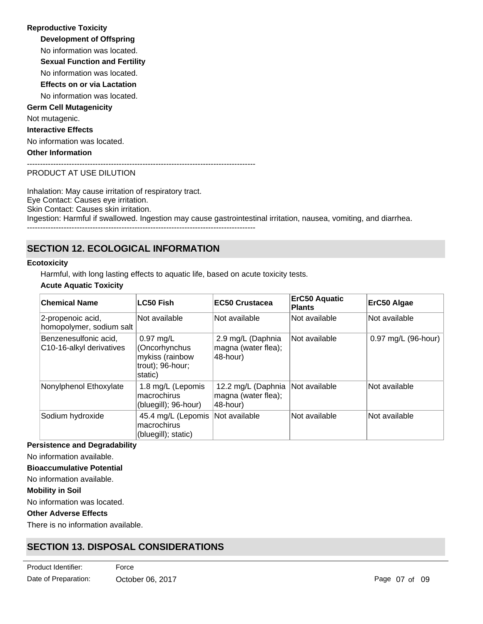**Development of Offspring** No information was located. **Reproductive Toxicity** No information was located. **Germ Cell Mutagenicity** Not mutagenic. **Interactive Effects** No information was located. **Other Information** --------------------------------------------------------------------------------------- **Sexual Function and Fertility Effects on or via Lactation** No information was located.

#### PRODUCT AT USE DILUTION

Inhalation: May cause irritation of respiratory tract. Eye Contact: Causes eye irritation. Skin Contact: Causes skin irritation. Ingestion: Harmful if swallowed. Ingestion may cause gastrointestinal irritation, nausea, vomiting, and diarrhea.

---------------------------------------------------------------------------------------

# **SECTION 12. ECOLOGICAL INFORMATION**

#### **Ecotoxicity**

Harmful, with long lasting effects to aquatic life, based on acute toxicity tests.

# **Acute Aquatic Toxicity**

| <b>Chemical Name</b>                              | <b>LC50 Fish</b>                                                                       | <b>EC50 Crustacea</b>                                 | <b>ErC50 Aquatic</b><br><b>Plants</b> | ErC50 Algae         |
|---------------------------------------------------|----------------------------------------------------------------------------------------|-------------------------------------------------------|---------------------------------------|---------------------|
| 2-propenoic acid,<br>homopolymer, sodium salt     | Not available                                                                          | Not available                                         | Not available                         | Not available       |
| Benzenesulfonic acid,<br>C10-16-alkyl derivatives | $0.97 \text{ mg/L}$<br>(Oncorhynchus<br>mykiss (rainbow<br>trout); 96-hour;<br>static) | 2.9 mg/L (Daphnia<br>magna (water flea);<br>48-hour)  | Not available                         | 0.97 mg/L (96-hour) |
| Nonylphenol Ethoxylate                            | 1.8 mg/L (Lepomis<br>macrochirus<br>(bluegill); 96-hour)                               | 12.2 mg/L (Daphnia<br>magna (water flea);<br>48-hour) | Not available                         | Not available       |
| Sodium hydroxide                                  | 45.4 mg/L (Lepomis<br>macrochirus<br>(bluegill); static)                               | Not available                                         | Not available                         | Not available       |

#### **Persistence and Degradability**

No information available.

# **Bioaccumulative Potential**

No information available.

**Mobility in Soil**

No information was located.

### **Other Adverse Effects**

There is no information available.

# **SECTION 13. DISPOSAL CONSIDERATIONS**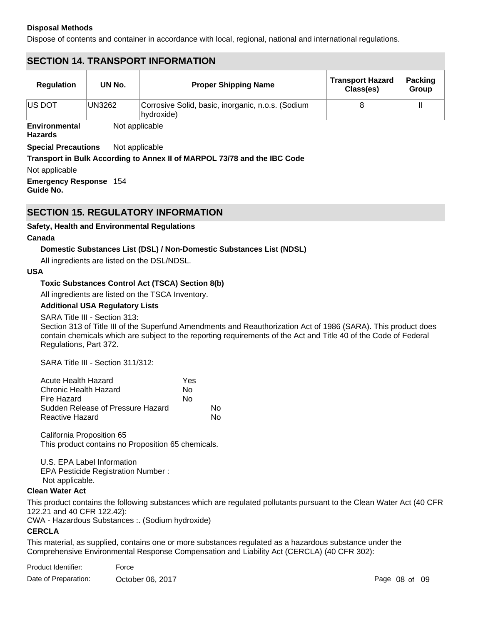# **Disposal Methods**

Dispose of contents and container in accordance with local, regional, national and international regulations.

# **SECTION 14. TRANSPORT INFORMATION**

Not applicable

| <b>Regulation</b> | UN No. | <b>Proper Shipping Name</b>                                     | <b>Transport Hazard</b><br>Class(es) | <b>Packing</b><br>Group |
|-------------------|--------|-----------------------------------------------------------------|--------------------------------------|-------------------------|
| <b>IUS DOT</b>    | UN3262 | Corrosive Solid, basic, inorganic, n.o.s. (Sodium<br>hydroxide) |                                      |                         |

**Environmental Hazards**

**Special Precautions** Not applicable

# **Transport in Bulk According to Annex II of MARPOL 73/78 and the IBC Code**

Not applicable

**Emergency Response** 154 **Guide No.**

# **SECTION 15. REGULATORY INFORMATION**

# **Safety, Health and Environmental Regulations**

#### **Canada**

# **Domestic Substances List (DSL) / Non-Domestic Substances List (NDSL)**

All ingredients are listed on the DSL/NDSL.

### **USA**

# **Toxic Substances Control Act (TSCA) Section 8(b)**

All ingredients are listed on the TSCA Inventory.

### **Additional USA Regulatory Lists**

SARA Title III - Section 313:

Section 313 of Title III of the Superfund Amendments and Reauthorization Act of 1986 (SARA). This product does contain chemicals which are subject to the reporting requirements of the Act and Title 40 of the Code of Federal Regulations, Part 372.

SARA Title III - Section 311/312:

| Acute Health Hazard               | Yes |    |
|-----------------------------------|-----|----|
| Chronic Health Hazard             | N٥  |    |
| Fire Hazard                       | No  |    |
| Sudden Release of Pressure Hazard |     | N٥ |
| Reactive Hazard                   |     | N٥ |

California Proposition 65 This product contains no Proposition 65 chemicals.

U.S. EPA Label Information EPA Pesticide Registration Number : Not applicable.

### **Clean Water Act**

This product contains the following substances which are regulated pollutants pursuant to the Clean Water Act (40 CFR 122.21 and 40 CFR 122.42):

CWA - Hazardous Substances :. (Sodium hydroxide)

# **CERCLA**

This material, as supplied, contains one or more substances regulated as a hazardous substance under the Comprehensive Environmental Response Compensation and Liability Act (CERCLA) (40 CFR 302):